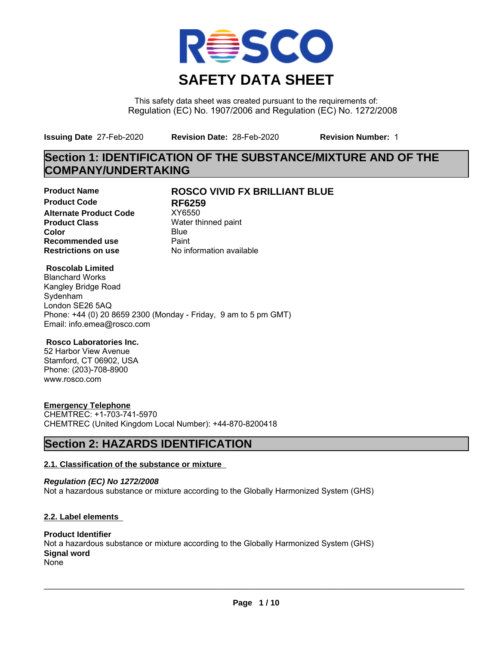

This safety data sheet was created pursuant to the requirements of: Regulation (EC) No. 1907/2006 and Regulation (EC) No. 1272/2008

**Issuing Date** 27-Feb-2020 **Revision Date:** 28-Feb-2020 **Revision Number:** 1

## **Section 1: IDENTIFICATION OF THE SUBSTANCE/MIXTURE AND OF THE COMPANY/UNDERTAKING**

**Product Code RF6259**<br>Alternate Product Code XY6550 **Alternate Product Code Product Class** Water thinned paint **Color** Blue Blue **Recommended use** Paint<br> **Restrictions on use** No inf

## **Product Name ROSCO VIVID FX BRILLIANT BLUE**

**No information available** 

### **Roscolab Limited**

Blanchard Works Kangley Bridge Road Sydenham London SE26 5AQ Phone: +44 (0) 20 8659 2300 (Monday - Friday, 9 am to 5 pm GMT) Email: info.emea@rosco.com

### **Rosco Laboratories Inc.**

52 Harbor View Avenue Stamford, CT 06902, USA Phone: (203)-708-8900 www.rosco.com

### **Emergency Telephone**

CHEMTREC: +1-703-741-5970 CHEMTREC (United Kingdom Local Number): +44-870-8200418

## **Section 2: HAZARDS IDENTIFICATION**

#### **2.1. Classification of the substance or mixture**

*Regulation (EC) No 1272/2008* Not a hazardous substance or mixture according to the Globally Harmonized System (GHS)

#### **2.2. Label elements**

#### **Product Identifier** Not a hazardous substance or mixture according to the Globally Harmonized System (GHS) **Signal word** None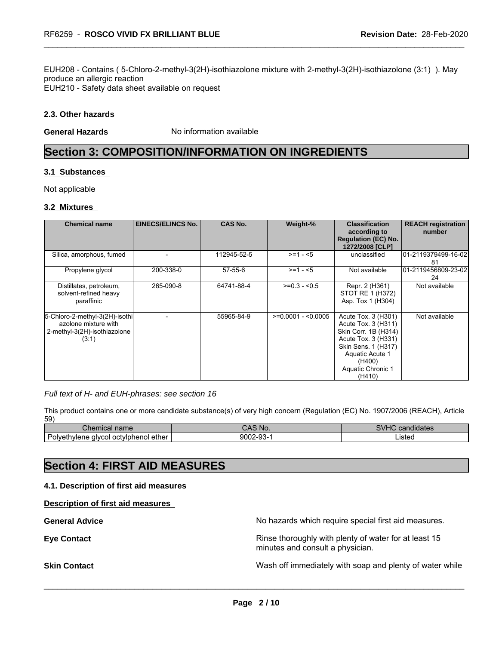EUH208 - Contains ( 5-Chloro-2-methyl-3(2H)-isothiazolone mixture with 2-methyl-3(2H)-isothiazolone (3:1) ). May produce an allergic reaction EUH210 - Safety data sheet available on request

#### **2.3. Other hazards**

**General Hazards** No information available

## **Section 3: COMPOSITION/INFORMATION ON INGREDIENTS**

#### **3.1 Substances**

Not applicable

#### **3.2 Mixtures**

| <b>Chemical name</b>                                                                            | <b>EINECS/ELINCS No.</b> | <b>CAS No.</b> | Weight-%            | <b>Classification</b><br>according to<br><b>Regulation (EC) No.</b><br>1272/2008 [CLP]                                                                                       | <b>REACH registration</b><br>number |
|-------------------------------------------------------------------------------------------------|--------------------------|----------------|---------------------|------------------------------------------------------------------------------------------------------------------------------------------------------------------------------|-------------------------------------|
| Silica, amorphous, fumed                                                                        |                          | 112945-52-5    | $>= 1 - 5$          | unclassified                                                                                                                                                                 | 101-2119379499-16-021<br>-81        |
| Propylene glycol                                                                                | 200-338-0                | 57-55-6        | $>= 1 - 5$          | Not available                                                                                                                                                                | 01-2119456809-23-02<br>24           |
| Distillates, petroleum,<br>solvent-refined heavy<br>paraffinic                                  | 265-090-8                | 64741-88-4     | $>=0.3 - 0.5$       | Repr. 2 (H361)<br>STOT RE 1 (H372)<br>Asp. Tox 1 (H304)                                                                                                                      | Not available                       |
| 5-Chloro-2-methyl-3(2H)-isothi<br>azolone mixture with<br>2-methyl-3(2H)-isothiazolone<br>(3:1) |                          | 55965-84-9     | $>=0.0001 - 0.0005$ | Acute Tox. 3 (H301)<br>Acute Tox. 3 (H311)<br>Skin Corr. 1B (H314)<br>Acute Tox. 3 (H331)<br>Skin Sens. 1 (H317)<br>Aquatic Acute 1<br>(H400)<br>Aquatic Chronic 1<br>(H410) | Not available                       |

#### *Full text of H- and EUH-phrases: see section 16*

This product contains one or more candidate substance(s) of very high concern (Regulation (EC) No. 1907/2006 (REACH), Article 59)

| Chemical name                                       | `No.<br>unu   | $\cdots$<br>.<br>יי<br>candidates |
|-----------------------------------------------------|---------------|-----------------------------------|
| -<br>i octvlphenol ether_<br>Polvethylene<br>alvcol | 9002-93<br>┒. | Listed                            |

## **Section 4: FIRST AID MEASURES**

**4.1. Description of first aid measures** 

**Description of first aid measures** 

| No hazards which require special first aid measures.                                      |
|-------------------------------------------------------------------------------------------|
| Rinse thoroughly with plenty of water for at least 15<br>minutes and consult a physician. |
| Wash off immediately with soap and plenty of water while                                  |
|                                                                                           |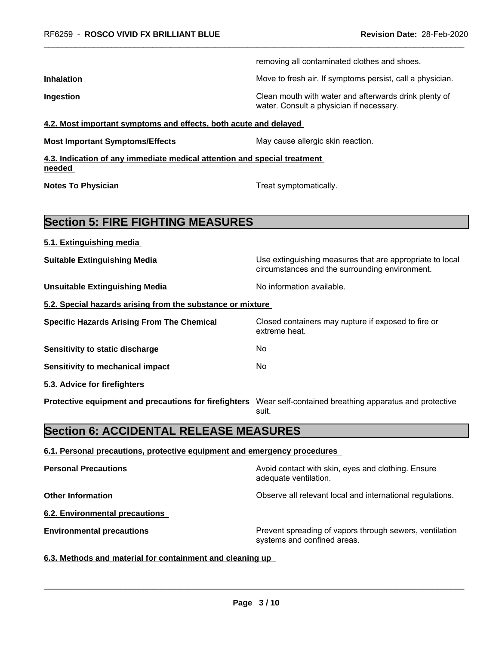|                                                                                    | removing all contaminated clothes and shoes.                                                               |  |
|------------------------------------------------------------------------------------|------------------------------------------------------------------------------------------------------------|--|
| <b>Inhalation</b>                                                                  | Move to fresh air. If symptoms persist, call a physician.                                                  |  |
| Ingestion                                                                          | Clean mouth with water and afterwards drink plenty of<br>water. Consult a physician if necessary.          |  |
| 4.2. Most important symptoms and effects, both acute and delayed                   |                                                                                                            |  |
| <b>Most Important Symptoms/Effects</b>                                             | May cause allergic skin reaction.                                                                          |  |
| 4.3. Indication of any immediate medical attention and special treatment<br>needed |                                                                                                            |  |
| <b>Notes To Physician</b>                                                          | Treat symptomatically.                                                                                     |  |
| <b>Section 5: FIRE FIGHTING MEASURES</b>                                           |                                                                                                            |  |
| 5.1. Extinguishing media                                                           |                                                                                                            |  |
| <b>Suitable Extinguishing Media</b>                                                | Use extinguishing measures that are appropriate to local<br>circumstances and the surrounding environment. |  |
| <b>Unsuitable Extinguishing Media</b>                                              | No information available.                                                                                  |  |
| 5.2. Special hazards arising from the substance or mixture                         |                                                                                                            |  |
| <b>Specific Hazards Arising From The Chemical</b>                                  | Closed containers may rupture if exposed to fire or<br>extreme heat.                                       |  |
| Sensitivity to static discharge                                                    | No                                                                                                         |  |
| <b>Sensitivity to mechanical impact</b>                                            | No                                                                                                         |  |
| 5.3. Advice for firefighters                                                       |                                                                                                            |  |
| Protective equipment and precautions for firefighters                              | Wear self-contained breathing apparatus and protective<br>suit.                                            |  |
| <b>Section 6: ACCIDENTAL RELEASE MEASURES</b>                                      |                                                                                                            |  |
| 6.1. Personal precautions, protective equipment and emergency procedures           |                                                                                                            |  |
| <b>Personal Precautions</b>                                                        | Avoid contact with skin, eyes and clothing. Ensure<br>adequate ventilation.                                |  |
| <b>Other Information</b>                                                           | Observe all relevant local and international regulations.                                                  |  |
| <b>6.2. Environmental precautions</b>                                              |                                                                                                            |  |
| <b>Environmental precautions</b>                                                   | Prevent spreading of vapors through sewers, ventilation<br>systems and confined areas.                     |  |
| 6.3. Methods and material for containment and cleaning up                          |                                                                                                            |  |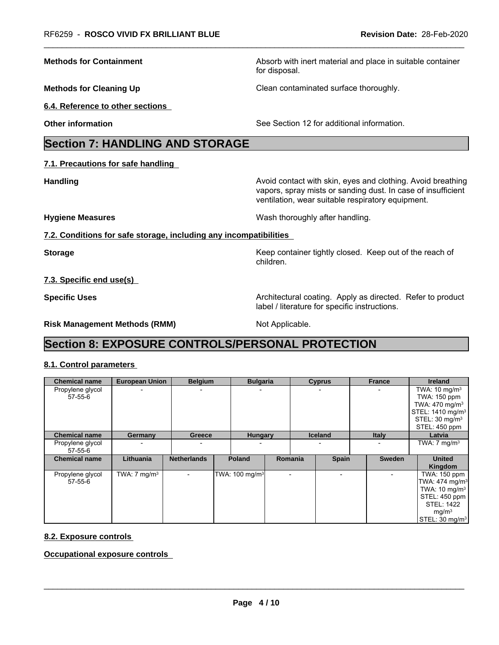**Methods for Containment** Absorb with inert material and place in suitable container

**Methods for Cleaning Up Clean contaminated surface thoroughly.** 

**6.4. Reference to other sections** 

**Other information** See Section 12 for additional information.

## **Section 7: HANDLING AND STORAGE**

**7.1. Precautions for safe handling** 

**Handling Handling Avoid contact with skin, eyes and clothing. Avoid breathing** vapors, spray mists or sanding dust. In case of insufficient ventilation, wear suitable respiratory equipment.

**Hygiene Measures** Mash thoroughly after handling.

**7.2. Conditions for safe storage, including any incompatibilities** 

**Storage Keep container tightly closed. Keep out of the reach of the reach of the reach of the reach of the reach of the reach of the reach of the reach of the reach of the reach of the reach of the reach of the reach of** children.

**7.3. Specific end use(s)** 

**Specific Uses Architectural coating. Apply as directed. Refer to product Architectural coating. Apply as directed. Refer to product** label / literature for specific instructions.

**Risk Management Methods (RMM)** Not Applicable.

for disposal.

## **Section 8: EXPOSURE CONTROLS/PERSONAL PROTECTION**

### **8.1. Control parameters**

| <b>Chemical name</b>        | <b>European Union</b>   | <b>Belgium</b>     | <b>Bulgaria</b>            |         | <b>Cyprus</b>  | <b>France</b>            | <b>Ireland</b>                                                                                                                                                  |
|-----------------------------|-------------------------|--------------------|----------------------------|---------|----------------|--------------------------|-----------------------------------------------------------------------------------------------------------------------------------------------------------------|
| Propylene glycol<br>57-55-6 |                         | $\blacksquare$     |                            |         |                |                          | TWA: $10 \text{ mg/m}^3$<br>TWA: 150 ppm<br>TWA: $470 \text{ mg/m}^3$<br>STEL: 1410 mg/m <sup>3</sup><br>STEL: 30 mg/m <sup>3</sup><br>STEL: 450 ppm            |
| <b>Chemical name</b>        | Germany                 | Greece             | <b>Hungary</b>             |         | <b>Iceland</b> | <b>Italy</b>             | Latvia                                                                                                                                                          |
| Propylene glycol<br>57-55-6 |                         |                    |                            |         |                |                          | TWA: $7 \text{ mg/m}^3$                                                                                                                                         |
| <b>Chemical name</b>        | Lithuania               | <b>Netherlands</b> | <b>Poland</b>              | Romania | <b>Spain</b>   | <b>Sweden</b>            | <b>United</b><br>Kingdom                                                                                                                                        |
| Propylene glycol<br>57-55-6 | TWA: $7 \text{ mg/m}^3$ | $\blacksquare$     | TWA: 100 mg/m <sup>3</sup> |         | -              | $\overline{\phantom{0}}$ | TWA: 150 ppm<br>TWA: 474 mg/m <sup>3</sup><br>TWA: $10 \text{ mg/m}^3$<br>STEL: 450 ppm<br><b>STEL: 1422</b><br>mg/m <sup>3</sup><br>STEL: 30 mg/m <sup>3</sup> |

#### **8.2. Exposure controls**

**Occupational exposure controls**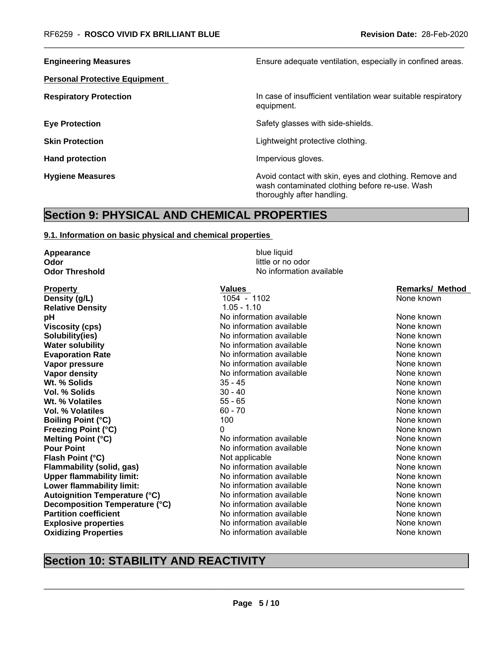**Personal Protective Equipment** 

**Engineering Measures Ensure** Ensure adequate ventilation, especially in confined areas.

**Respiratory Protection In case of insufficient ventilation wear suitable respiratory** equipment.

**Eye Protection Exercise Safety glasses with side-shields.** 

**Skin Protection Skin Protection Lightweight protective clothing.** 

Hand protection **Impervious** gloves.

**Hygiene Measures** Avoid contact with skin, eyes and clothing. Remove and and state and clothing. Remove and clothing. Remove and state and state and state and state and state and state and state and state and state and st wash contaminated clothing before re-use. Wash thoroughly after handling.

## **Section 9: PHYSICAL AND CHEMICAL PROPERTIES**

#### **9.1. Information on basic physical and chemical properties**

**Appearance** blue liquid **Odor** little or no odor

**Property Construction Construction Construction Values Construction Construction Construction Construction Construction Construction Construction Construction Construction Construction Construction Construction Constr Density (g/L) 1054** - 1102 None known **Relative Density** 1.05 - 1.10 **pH bH** No information available None known None known **Viscosity (cps)** Note that the information available and the None known None known<br>
Note that the None Known Note that the None known None known None known **Solubility(ies)** Note that the information available and the component of the None known<br>
Note that the None known Note that the None known None known **Water solubility Water solubility Water solubility No** information available **Evaporation Rate Notify the Contract Conduct Conduct Area Constructed Constructed Area Constructed Area Constructed Area Constructed Vapor Report None known<br>
Note that None Known Not the None Known None Known None Known Vapor pressure** No information available **Vapor density** Notington available None known None known **Wt. % Solids** 35 - 45 None known **Vol. % Solids** 30 - 40 None known **Wt. % Volatiles** 55 - 65 None known **Vol. % Volatiles** 60 - 70 None known **Boiling Point (°C)** 100 100 None known **Freezing Point (°C)** 0 0 0 0 0 None known **Melting Point (°C)** No information available None known None known<br>
No information available None Known None known **Flash Point (°C)** Not applicable None known None known **Flammability (solid, gas)** No information available None Known<br>
None **flammability limit:** No information available None known<br>
None known **Upper flammability limit: Lower flammability limit:** No information available None Known None known **Autoignition Temperature (°C)** Moinformation available None Known<br> **Decomposition Temperature (°C)** No information available None known **Decomposition Temperature (°C)** No information available None Known None known **Partition coefficient** Note 2008 Note None has not None known **Explosive properties** The South Communist School and None Known<br>
Not the None Known<br>
Not the None known<br>
None known<br>
None known **Oxidizing Properties** 

**Odor Threshold No information available** 

**No information available** 

## **Section 10: STABILITY AND REACTIVITY**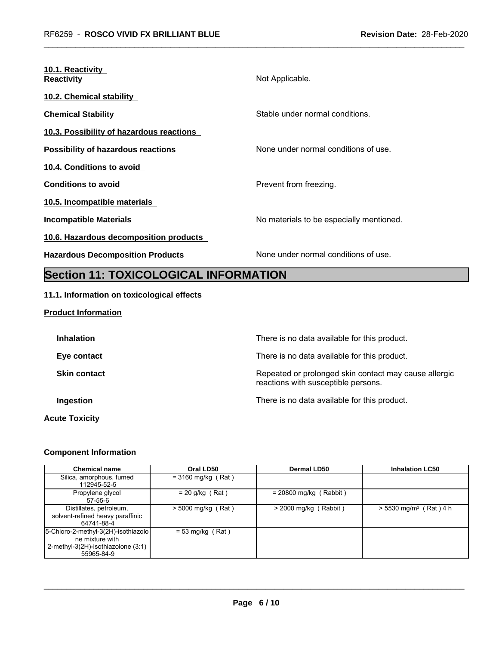| 10.1. Reactivity<br><b>Reactivity</b>     | Not Applicable.                          |
|-------------------------------------------|------------------------------------------|
| 10.2. Chemical stability                  |                                          |
| <b>Chemical Stability</b>                 | Stable under normal conditions.          |
| 10.3. Possibility of hazardous reactions  |                                          |
| <b>Possibility of hazardous reactions</b> | None under normal conditions of use.     |
| 10.4. Conditions to avoid                 |                                          |
| <b>Conditions to avoid</b>                | Prevent from freezing.                   |
| 10.5. Incompatible materials              |                                          |
| Incompatible Materials                    | No materials to be especially mentioned. |
| 10.6. Hazardous decomposition products    |                                          |
| <b>Hazardous Decomposition Products</b>   | None under normal conditions of use.     |
|                                           |                                          |

# **Section 11: TOXICOLOGICAL INFORMATION**

### **11.1. Information on toxicological effects**

#### **Product Information**

| <b>Inhalation</b>     | There is no data available for this product.                                                 |
|-----------------------|----------------------------------------------------------------------------------------------|
| Eye contact           | There is no data available for this product.                                                 |
| <b>Skin contact</b>   | Repeated or prolonged skin contact may cause allergic<br>reactions with susceptible persons. |
| Ingestion             | There is no data available for this product.                                                 |
| <b>Acute Toxicity</b> |                                                                                              |

### **Component Information**

| <b>Chemical name</b>                                                                                       | Oral LD50            | <b>Dermal LD50</b>       | <b>Inhalation LC50</b>               |
|------------------------------------------------------------------------------------------------------------|----------------------|--------------------------|--------------------------------------|
| Silica, amorphous, fumed<br>112945-52-5                                                                    | $=$ 3160 mg/kg (Rat) |                          |                                      |
| Propylene glycol<br>$57 - 55 - 6$                                                                          | $= 20$ g/kg (Rat)    | $= 20800$ mg/kg (Rabbit) |                                      |
| Distillates, petroleum,<br>solvent-refined heavy paraffinic<br>64741-88-4                                  | $>$ 5000 mg/kg (Rat) | $>$ 2000 mg/kg (Rabbit)  | $> 5530$ mg/m <sup>3</sup> (Rat) 4 h |
| 5-Chloro-2-methyl-3(2H)-isothiazolo<br>ne mixture with<br>2-methyl-3(2H)-isothiazolone (3:1)<br>55965-84-9 | $= 53$ mg/kg (Rat)   |                          |                                      |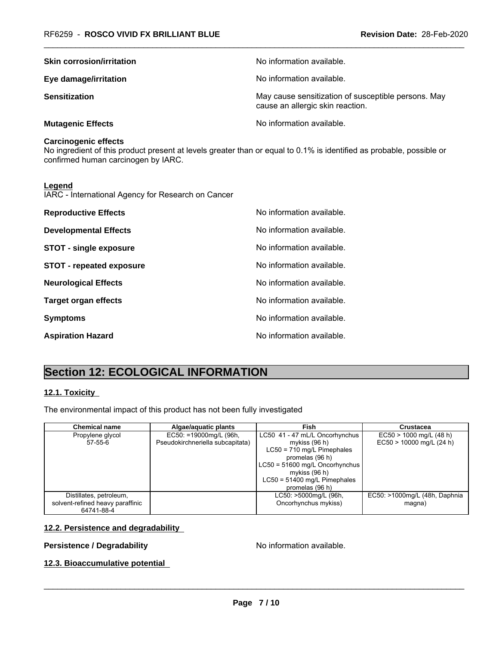| <b>Skin corrosion/irritation</b> | No information available.                                                               |
|----------------------------------|-----------------------------------------------------------------------------------------|
| Eye damage/irritation            | No information available.                                                               |
| <b>Sensitization</b>             | May cause sensitization of susceptible persons. May<br>cause an allergic skin reaction. |
| <b>Mutagenic Effects</b>         | No information available.                                                               |

#### **Carcinogenic effects**

No ingredient of this product present at levels greater than or equal to 0.1% is identified as probable, possible or confirmed human carcinogen by IARC.

#### **Legend**

IARC - International Agency for Research on Cancer

| <b>Reproductive Effects</b>     | No information available. |
|---------------------------------|---------------------------|
| <b>Developmental Effects</b>    | No information available. |
| <b>STOT - single exposure</b>   | No information available. |
| <b>STOT - repeated exposure</b> | No information available. |
| <b>Neurological Effects</b>     | No information available. |
| <b>Target organ effects</b>     | No information available. |
| <b>Symptoms</b>                 | No information available. |
| <b>Aspiration Hazard</b>        | No information available. |

## **Section 12: ECOLOGICAL INFORMATION**

#### **12.1. Toxicity**

The environmental impact of this product has not been fully investigated

| <b>Chemical name</b>             | Algae/aquatic plants             | Fish                             | Crustacea                     |
|----------------------------------|----------------------------------|----------------------------------|-------------------------------|
| Propylene glycol                 | EC50: =19000mg/L (96h,           | LC50 41 - 47 mL/L Oncorhynchus   | $EC50 > 1000$ mg/L (48 h)     |
| 57-55-6                          | Pseudokirchneriella subcapitata) | mykiss $(96 h)$                  | $EC50 > 10000$ mg/L (24 h)    |
|                                  |                                  | $LC50 = 710$ mg/L Pimephales     |                               |
|                                  |                                  | promelas (96 h)                  |                               |
|                                  |                                  | $LC50 = 51600$ mg/L Oncorhynchus |                               |
|                                  |                                  | mykiss $(96 h)$                  |                               |
|                                  |                                  | $LC50 = 51400$ mg/L Pimephales   |                               |
|                                  |                                  | promelas (96 h)                  |                               |
| Distillates, petroleum,          |                                  | LC50: >5000mg/L (96h,            | EC50: >1000mg/L (48h, Daphnia |
| solvent-refined heavy paraffinic |                                  | Oncorhynchus mykiss)             | magna)                        |
| 64741-88-4                       |                                  |                                  |                               |

#### **12.2. Persistence and degradability**

#### **Persistence / Degradability No information available.**

\_\_\_\_\_\_\_\_\_\_\_\_\_\_\_\_\_\_\_\_\_\_\_\_\_\_\_\_\_\_\_\_\_\_\_\_\_\_\_\_\_\_\_\_\_\_\_\_\_\_\_\_\_\_\_\_\_\_\_\_\_\_\_\_\_\_\_\_\_\_\_\_\_\_\_\_\_\_\_\_\_\_\_\_\_\_\_\_\_\_\_\_\_

#### **12.3. Bioaccumulative potential**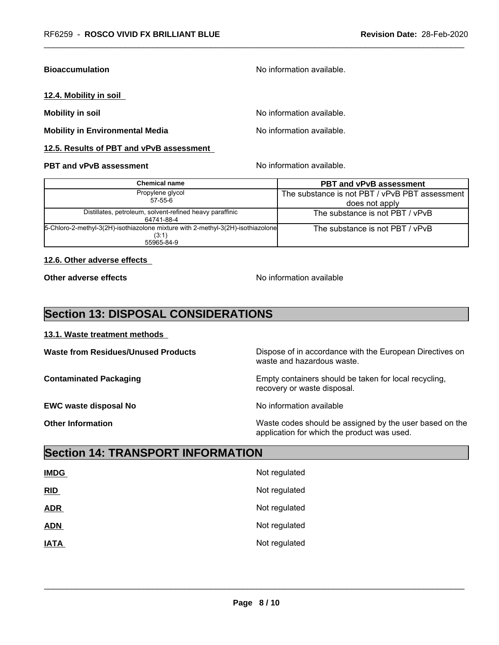#### **Bioaccumulation Bioaccumulation No information available.**

#### **12.4. Mobility in soil**

**Mobility in Environmental Media** Noinformation available.

#### **12.5. Results of PBT and vPvB assessment**

#### **PBT and vPvB assessment** Noinformation available.

**Mobility in soil Mobility in soil** No information available.

| Chemical name                                                                            | <b>PBT and vPvB assessment</b>                 |  |
|------------------------------------------------------------------------------------------|------------------------------------------------|--|
| Propylene glycol                                                                         | The substance is not PBT / vPvB PBT assessment |  |
| 57-55-6                                                                                  | does not apply                                 |  |
| Distillates, petroleum, solvent-refined heavy paraffinic<br>64741-88-4                   | The substance is not PBT / vPvB                |  |
| 5-Chloro-2-methyl-3(2H)-isothiazolone mixture with 2-methyl-3(2H)-isothiazolone<br>(3:1) | The substance is not PBT / vPvB                |  |
| 55965-84-9                                                                               |                                                |  |

#### **12.6. Other adverse effects**

**Other adverse effects** No information available

## **Section 13: DISPOSAL CONSIDERATIONS**

**13.1. Waste treatment methods** 

**EWC waste disposal No** Noinformation available

Waste from Residues/Unused Products **Dispose of in accordance with the European Directives on** waste and hazardous waste.

**Contaminated Packaging The Containers Should be taken for local recycling, Containers should be taken for local recycling,** recovery or waste disposal.

\_\_\_\_\_\_\_\_\_\_\_\_\_\_\_\_\_\_\_\_\_\_\_\_\_\_\_\_\_\_\_\_\_\_\_\_\_\_\_\_\_\_\_\_\_\_\_\_\_\_\_\_\_\_\_\_\_\_\_\_\_\_\_\_\_\_\_\_\_\_\_\_\_\_\_\_\_\_\_\_\_\_\_\_\_\_\_\_\_\_\_\_\_

**Other Information** Waste codes should be assigned by the user based on the application for which the product was used.

## **Section 14: TRANSPORT INFORMATION**

| <b>IMDG</b> | Not regulated |
|-------------|---------------|
| RID         | Not regulated |
| <b>ADR</b>  | Not regulated |
| <b>ADN</b>  | Not regulated |
| <b>IATA</b> | Not regulated |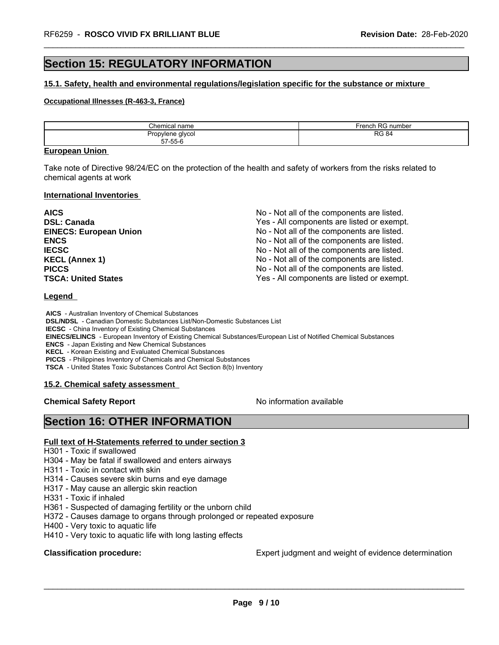## **Section 15: REGULATORY INFORMATION**

#### **15.1. Safety, health and environmental regulations/legislation specific for the substance or mixture**

#### **Occupational Illnesses (R-463-3, France)**

| Chemica<br>mm<br>папе                                            | rench<br>. J <i>r</i><br>number<br>rei<br>$\sim$ |
|------------------------------------------------------------------|--------------------------------------------------|
| glycol<br>Prop<br>1000<br>וטווע.<br>ັບ<br>$- - - - -$<br>J/-55-h | 0<br>DO.<br>84                                   |

#### **European Union**

Take note of Directive 98/24/EC on the protection of the health and safety of workers from the risks related to chemical agents at work

#### **International Inventories**

| <b>AICS</b>                   | No - Not all of the components are listed. |
|-------------------------------|--------------------------------------------|
| <b>DSL: Canada</b>            | Yes - All components are listed or exempt. |
| <b>EINECS: European Union</b> | No - Not all of the components are listed. |
| <b>ENCS</b>                   | No - Not all of the components are listed. |
| <b>IECSC</b>                  | No - Not all of the components are listed. |
| <b>KECL (Annex 1)</b>         | No - Not all of the components are listed. |
| <b>PICCS</b>                  | No - Not all of the components are listed. |
| <b>TSCA: United States</b>    | Yes - All components are listed or exempt. |

#### **Legend**

 **AICS** - Australian Inventory of Chemical Substances

 **DSL/NDSL** - Canadian Domestic Substances List/Non-Domestic Substances List

 **IECSC** - China Inventory of Existing Chemical Substances

 **EINECS/ELINCS** - European Inventory of Existing Chemical Substances/European List of Notified Chemical Substances

 **ENCS** - Japan Existing and New Chemical Substances

 **KECL** - Korean Existing and Evaluated Chemical Substances

 **PICCS** - Philippines Inventory of Chemicals and Chemical Substances

 **TSCA** - United States Toxic Substances Control Act Section 8(b) Inventory

#### **15.2. Chemical safety assessment**

**Chemical Safety Report No information available** 

\_\_\_\_\_\_\_\_\_\_\_\_\_\_\_\_\_\_\_\_\_\_\_\_\_\_\_\_\_\_\_\_\_\_\_\_\_\_\_\_\_\_\_\_\_\_\_\_\_\_\_\_\_\_\_\_\_\_\_\_\_\_\_\_\_\_\_\_\_\_\_\_\_\_\_\_\_\_\_\_\_\_\_\_\_\_\_\_\_\_\_\_\_

## **Section 16: OTHER INFORMATION**

### **Full text of H-Statements referred to under section 3**

H301 - Toxic if swallowed

H304 - May be fatal if swallowed and enters airways

H311 - Toxic in contact with skin

H314 - Causes severe skin burns and eye damage

H317 - May cause an allergic skin reaction

H331 - Toxic if inhaled

H361 - Suspected of damaging fertility or the unborn child

H372 - Causes damage to organs through prolonged or repeated exposure

H400 - Very toxic to aquatic life

H410 - Very toxic to aquatic life with long lasting effects

**Classification procedure:** Expert judgment and weight of evidence determination